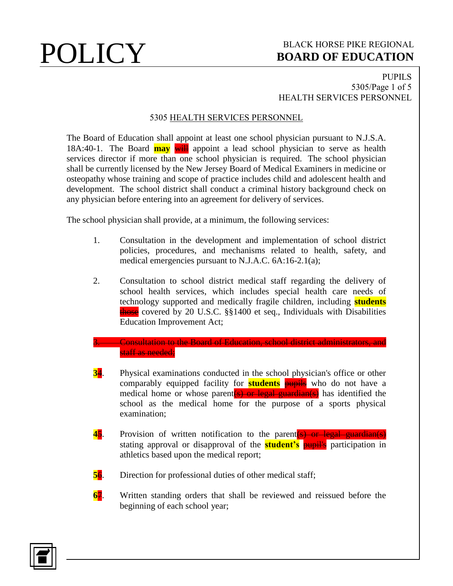## **POLICY** BLACK HORSE PIKE REGIONAL **BOARD OF EDUCATION BOARD OF EDUCATION**

### PUPILS 5305/Page 1 of 5 HEALTH SERVICES PERSONNEL

## 5305 HEALTH SERVICES PERSONNEL

The Board of Education shall appoint at least one school physician pursuant to N.J.S.A. 18A:40-1. The Board **may** will appoint a lead school physician to serve as health services director if more than one school physician is required. The school physician shall be currently licensed by the New Jersey Board of Medical Examiners in medicine or osteopathy whose training and scope of practice includes child and adolescent health and development. The school district shall conduct a criminal history background check on any physician before entering into an agreement for delivery of services.

The school physician shall provide, at a minimum, the following services:

- 1. Consultation in the development and implementation of school district policies, procedures, and mechanisms related to health, safety, and medical emergencies pursuant to N.J.A.C. 6A:16-2.1(a);
- 2. Consultation to school district medical staff regarding the delivery of school health services, which includes special health care needs of technology supported and medically fragile children, including **students** those covered by 20 U.S.C. §§1400 et seq., Individuals with Disabilities Education Improvement Act;

### 3. Consultation to the Board of Education, school district administrators, and staff as needed;

- **3**4. Physical examinations conducted in the school physician's office or other comparably equipped facility for **students** pupils who do not have a medical home or whose parent (s) or legal guardian(s) has identified the school as the medical home for the purpose of a sports physical examination;
- **45.** Provision of written notification to the parent **(s)** or legal guardian(s) stating approval or disapproval of the **student's** pupil's participation in athletics based upon the medical report;
- **56.** Direction for professional duties of other medical staff;
- **6**7. Written standing orders that shall be reviewed and reissued before the beginning of each school year;

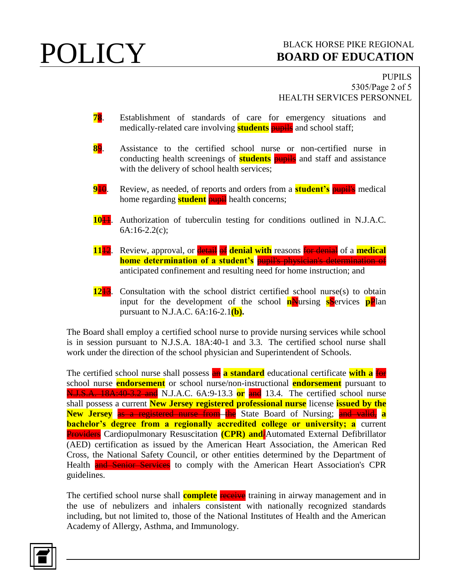## **POLICY** BLACK HORSE PIKE REGIONAL **BOARD OF EDUCATION BOARD OF EDUCATION**

PUPILS 5305/Page 2 of 5 HEALTH SERVICES PERSONNEL

- **78**. Establishment of standards of care for emergency situations and medically-related care involving **students** pupils and school staff;
- **8**9. Assistance to the certified school nurse or non-certified nurse in conducting health screenings of **students** pupils and staff and assistance with the delivery of school health services;
- **9**10. Review, as needed, of reports and orders from a **student's** pupil's medical home regarding **student pupil** health concerns;
- **10**11. Authorization of tuberculin testing for conditions outlined in N.J.A.C. 6A:16-2.2(c);
- **11<sup>12</sup>**. Review, approval, or **detail of denial with** reasons **for denial** of a **medical home determination of a student's pupil's physician's determination of** anticipated confinement and resulting need for home instruction; and
- **12**13. Consultation with the school district certified school nurse(s) to obtain input for the development of the school **n**Nursing **s**Services **pP**lan pursuant to N.J.A.C. 6A:16-2.1**(b).**

The Board shall employ a certified school nurse to provide nursing services while school is in session pursuant to N.J.S.A. 18A:40-1 and 3.3. The certified school nurse shall work under the direction of the school physician and Superintendent of Schools.

The certified school nurse shall possess **an a standard** educational certificate with a for school nurse **endorsement** or school nurse/non-instructional **endorsement** pursuant to N.J.S.A. 18A:40-3.2 and N.J.A.C. 6A:9-13.3 **or** and 13.4. The certified school nurse shall possess a current **New Jersey registered professional nurse** license **issued by the New Jersey** as a registered nurse from the State Board of Nursing; and valid, a **bachelor's degree from a regionally accredited college or university; a** current **Providers** Cardiopulmonary Resuscitation **(CPR) and** Automated External Defibrillator (AED) certification as issued by the American Heart Association, the American Red Cross, the National Safety Council, or other entities determined by the Department of Health **and Senior Services** to comply with the American Heart Association's CPR guidelines.

The certified school nurse shall **complete** receive training in airway management and in the use of nebulizers and inhalers consistent with nationally recognized standards including, but not limited to, those of the National Institutes of Health and the American Academy of Allergy, Asthma, and Immunology.

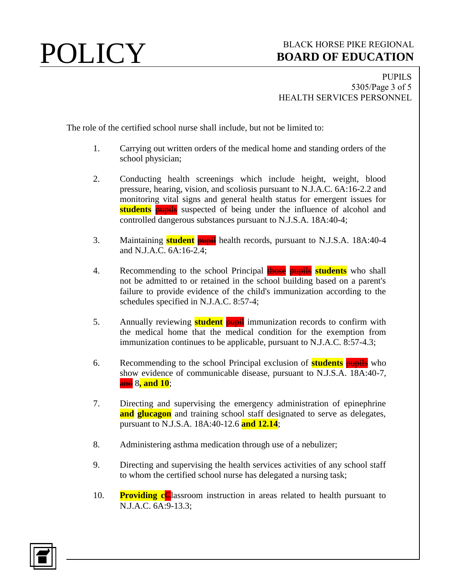## **POLICY** BLACK HORSE PIKE REGIONAL **BOARD OF EDUCATION BOARD OF EDUCATION**

PUPILS 5305/Page 3 of 5 HEALTH SERVICES PERSONNEL

The role of the certified school nurse shall include, but not be limited to:

- 1. Carrying out written orders of the medical home and standing orders of the school physician;
- 2. Conducting health screenings which include height, weight, blood pressure, hearing, vision, and scoliosis pursuant to N.J.A.C. 6A:16-2.2 and monitoring vital signs and general health status for emergent issues for **students pupils** suspected of being under the influence of alcohol and controlled dangerous substances pursuant to N.J.S.A. 18A:40-4;
- 3. Maintaining **student** pupil health records, pursuant to N.J.S.A. 18A:40-4 and N.J.A.C. 6A:16-2.4;
- 4. Recommending to the school Principal **those** pupils **students** who shall not be admitted to or retained in the school building based on a parent's failure to provide evidence of the child's immunization according to the schedules specified in N.J.A.C. 8:57-4;
- 5. Annually reviewing **student pupil** immunization records to confirm with the medical home that the medical condition for the exemption from immunization continues to be applicable, pursuant to N.J.A.C. 8:57-4.3;
- 6. Recommending to the school Principal exclusion of **students** pupils who show evidence of communicable disease, pursuant to N.J.S.A. 18A:40-7, and 8**, and 10**;
- 7. Directing and supervising the emergency administration of epinephrine **and glucagon** and training school staff designated to serve as delegates, pursuant to N.J.S.A. 18A:40-12.6 **and 12.14**;
- 8. Administering asthma medication through use of a nebulizer;
- 9. Directing and supervising the health services activities of any school staff to whom the certified school nurse has delegated a nursing task;
- 10. **Providing c**Classroom instruction in areas related to health pursuant to N.J.A.C. 6A:9-13.3;

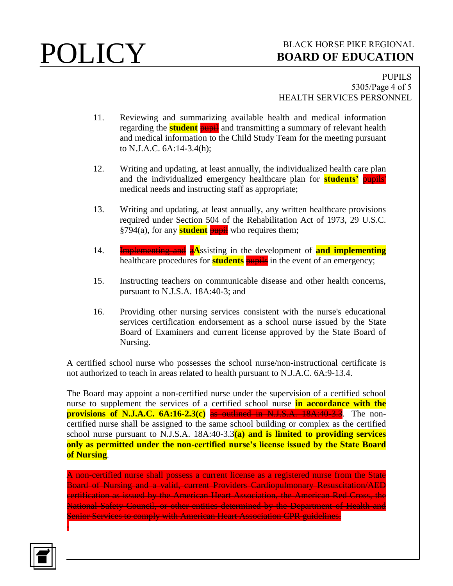# **POLICY** BOARD OF EDUCATION **BOARD OF EDUCATION**

PUPILS 5305/Page 4 of 5 HEALTH SERVICES PERSONNEL

- 11. Reviewing and summarizing available health and medical information regarding the **student pupil** and transmitting a summary of relevant health and medical information to the Child Study Team for the meeting pursuant to N.J.A.C. 6A:14-3.4(h);
- 12. Writing and updating, at least annually, the individualized health care plan and the individualized emergency healthcare plan for **students'** pupils' medical needs and instructing staff as appropriate;
- 13. Writing and updating, at least annually, any written healthcare provisions required under Section 504 of the Rehabilitation Act of 1973, 29 U.S.C. §794(a), for any **student** pupil who requires them;
- 14. Implementing and a**A**ssisting in the development of **and implementing** healthcare procedures for **students pupils** in the event of an emergency;
- 15. Instructing teachers on communicable disease and other health concerns, pursuant to N.J.S.A. 18A:40-3; and
- 16. Providing other nursing services consistent with the nurse's educational services certification endorsement as a school nurse issued by the State Board of Examiners and current license approved by the State Board of Nursing.

A certified school nurse who possesses the school nurse/non-instructional certificate is not authorized to teach in areas related to health pursuant to N.J.A.C. 6A:9-13.4.

The Board may appoint a non-certified nurse under the supervision of a certified school nurse to supplement the services of a certified school nurse **in accordance with the provisions of N.J.A.C. 6A:16-2.3(c)** as outlined in N.J.S.A. 18A:40-3.3. The noncertified nurse shall be assigned to the same school building or complex as the certified school nurse pursuant to N.J.S.A. 18A:40-3.3**(a) and is limited to providing services only as permitted under the non-certified nurse's license issued by the State Board of Nursing**.

A non-certified nurse shall possess a current license as a registered nurse from the State Board of Nursing and a valid, current Providers Cardiopulmonary Resuscitation/AED certification as issued by the American Heart Association, the American Red Cross, the National Safety Council, or other entities determined by the Department of Health and Senior Services to comply with American Heart Association CPR guidelines.